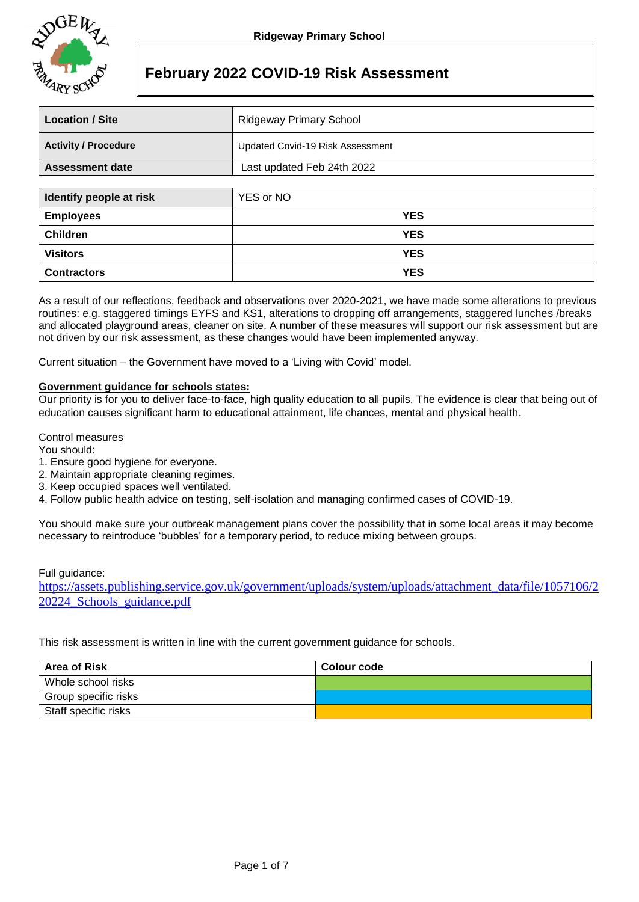

# **February 2022 COVID-19 Risk Assessment**

| <b>Location / Site</b>      | Ridgeway Primary School          |  |  |
|-----------------------------|----------------------------------|--|--|
| <b>Activity / Procedure</b> | Updated Covid-19 Risk Assessment |  |  |
| <b>Assessment date</b>      | Last updated Feb 24th 2022       |  |  |
|                             |                                  |  |  |
| Identify people at risk     | YES or NO                        |  |  |
| <b>Employees</b>            | <b>YES</b>                       |  |  |

| <b>Children</b>    | <b>YES</b>                                                                                                           |
|--------------------|----------------------------------------------------------------------------------------------------------------------|
| Visitors           | <b>YES</b>                                                                                                           |
| <b>Contractors</b> | <b>YES</b>                                                                                                           |
|                    | As a result of our reflections, foodback and observations over 2020, 2021, we have made some alterations to provious |

As a result of our reflections, feedback and observations over 2020-2021, we have made some alterations to previous routines: e.g. staggered timings EYFS and KS1, alterations to dropping off arrangements, staggered lunches /breaks and allocated playground areas, cleaner on site. A number of these measures will support our risk assessment but are not driven by our risk assessment, as these changes would have been implemented anyway.

Current situation – the Government have moved to a 'Living with Covid' model.

# **Government guidance for schools states:**

Our priority is for you to deliver face-to-face, high quality education to all pupils. The evidence is clear that being out of education causes significant harm to educational attainment, life chances, mental and physical health.

#### Control measures

You should:

- 1. Ensure good hygiene for everyone.
- 2. Maintain appropriate cleaning regimes.
- 3. Keep occupied spaces well ventilated.
- 4. Follow public health advice on testing, self-isolation and managing confirmed cases of COVID-19.

You should make sure your outbreak management plans cover the possibility that in some local areas it may become necessary to reintroduce 'bubbles' for a temporary period, to reduce mixing between groups.

#### Full guidance:

[https://assets.publishing.service.gov.uk/government/uploads/system/uploads/attachment\\_data/file/1057106/2](https://assets.publishing.service.gov.uk/government/uploads/system/uploads/attachment_data/file/1057106/220224_Schools_guidance.pdf) [20224\\_Schools\\_guidance.pdf](https://assets.publishing.service.gov.uk/government/uploads/system/uploads/attachment_data/file/1057106/220224_Schools_guidance.pdf)

This risk assessment is written in line with the current government guidance for schools.

| <b>Area of Risk</b>  | Colour code |
|----------------------|-------------|
| Whole school risks   |             |
| Group specific risks |             |
| Staff specific risks |             |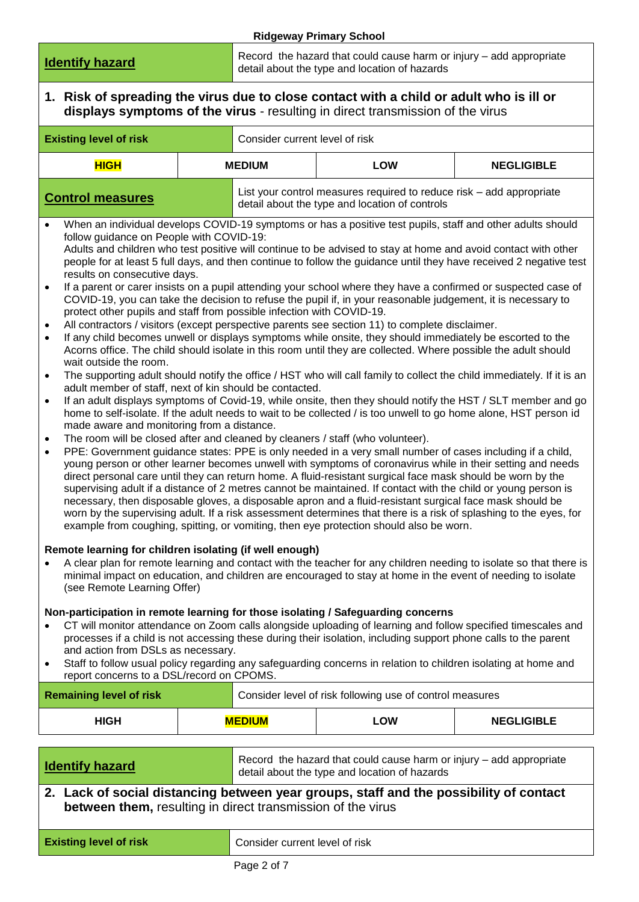|                                                                                                                                                                                                                                                                                                                                                                                                                                                                                                                                                                                                                                                                                                                                                                                                                                                                                                                                                                                                                                                                                                                                                                                                                                                                                                                                                                                                                                                                                                                                                                                                                                                                                                                                                                                                                                                                                                                                                                                                                                                                                                                                                                                                                                                                                                                                                                                                                                                                                                                                                              |                                                                                                                        |                                | <b>Ridgeway Primary School</b>                                                                                                                                                                                                    |                   |  |
|--------------------------------------------------------------------------------------------------------------------------------------------------------------------------------------------------------------------------------------------------------------------------------------------------------------------------------------------------------------------------------------------------------------------------------------------------------------------------------------------------------------------------------------------------------------------------------------------------------------------------------------------------------------------------------------------------------------------------------------------------------------------------------------------------------------------------------------------------------------------------------------------------------------------------------------------------------------------------------------------------------------------------------------------------------------------------------------------------------------------------------------------------------------------------------------------------------------------------------------------------------------------------------------------------------------------------------------------------------------------------------------------------------------------------------------------------------------------------------------------------------------------------------------------------------------------------------------------------------------------------------------------------------------------------------------------------------------------------------------------------------------------------------------------------------------------------------------------------------------------------------------------------------------------------------------------------------------------------------------------------------------------------------------------------------------------------------------------------------------------------------------------------------------------------------------------------------------------------------------------------------------------------------------------------------------------------------------------------------------------------------------------------------------------------------------------------------------------------------------------------------------------------------------------------------------|------------------------------------------------------------------------------------------------------------------------|--------------------------------|-----------------------------------------------------------------------------------------------------------------------------------------------------------------------------------------------------------------------------------|-------------------|--|
| Record the hazard that could cause harm or injury - add appropriate<br><b>Identify hazard</b><br>detail about the type and location of hazards                                                                                                                                                                                                                                                                                                                                                                                                                                                                                                                                                                                                                                                                                                                                                                                                                                                                                                                                                                                                                                                                                                                                                                                                                                                                                                                                                                                                                                                                                                                                                                                                                                                                                                                                                                                                                                                                                                                                                                                                                                                                                                                                                                                                                                                                                                                                                                                                               |                                                                                                                        |                                |                                                                                                                                                                                                                                   |                   |  |
| 1. Risk of spreading the virus due to close contact with a child or adult who is ill or<br>displays symptoms of the virus - resulting in direct transmission of the virus                                                                                                                                                                                                                                                                                                                                                                                                                                                                                                                                                                                                                                                                                                                                                                                                                                                                                                                                                                                                                                                                                                                                                                                                                                                                                                                                                                                                                                                                                                                                                                                                                                                                                                                                                                                                                                                                                                                                                                                                                                                                                                                                                                                                                                                                                                                                                                                    |                                                                                                                        |                                |                                                                                                                                                                                                                                   |                   |  |
| <b>Existing level of risk</b>                                                                                                                                                                                                                                                                                                                                                                                                                                                                                                                                                                                                                                                                                                                                                                                                                                                                                                                                                                                                                                                                                                                                                                                                                                                                                                                                                                                                                                                                                                                                                                                                                                                                                                                                                                                                                                                                                                                                                                                                                                                                                                                                                                                                                                                                                                                                                                                                                                                                                                                                |                                                                                                                        | Consider current level of risk |                                                                                                                                                                                                                                   |                   |  |
| <b>HIGH</b><br><b>MEDIUM</b><br>LOW<br><b>NEGLIGIBLE</b>                                                                                                                                                                                                                                                                                                                                                                                                                                                                                                                                                                                                                                                                                                                                                                                                                                                                                                                                                                                                                                                                                                                                                                                                                                                                                                                                                                                                                                                                                                                                                                                                                                                                                                                                                                                                                                                                                                                                                                                                                                                                                                                                                                                                                                                                                                                                                                                                                                                                                                     |                                                                                                                        |                                |                                                                                                                                                                                                                                   |                   |  |
| <b>Control measures</b>                                                                                                                                                                                                                                                                                                                                                                                                                                                                                                                                                                                                                                                                                                                                                                                                                                                                                                                                                                                                                                                                                                                                                                                                                                                                                                                                                                                                                                                                                                                                                                                                                                                                                                                                                                                                                                                                                                                                                                                                                                                                                                                                                                                                                                                                                                                                                                                                                                                                                                                                      | List your control measures required to reduce risk – add appropriate<br>detail about the type and location of controls |                                |                                                                                                                                                                                                                                   |                   |  |
| When an individual develops COVID-19 symptoms or has a positive test pupils, staff and other adults should<br>$\bullet$<br>follow guidance on People with COVID-19:<br>Adults and children who test positive will continue to be advised to stay at home and avoid contact with other<br>people for at least 5 full days, and then continue to follow the guidance until they have received 2 negative test<br>results on consecutive days.<br>If a parent or carer insists on a pupil attending your school where they have a confirmed or suspected case of<br>$\bullet$<br>COVID-19, you can take the decision to refuse the pupil if, in your reasonable judgement, it is necessary to<br>protect other pupils and staff from possible infection with COVID-19.<br>All contractors / visitors (except perspective parents see section 11) to complete disclaimer.<br>$\bullet$<br>If any child becomes unwell or displays symptoms while onsite, they should immediately be escorted to the<br>$\bullet$<br>Acorns office. The child should isolate in this room until they are collected. Where possible the adult should<br>wait outside the room.<br>The supporting adult should notify the office / HST who will call family to collect the child immediately. If it is an<br>$\bullet$<br>adult member of staff, next of kin should be contacted.<br>If an adult displays symptoms of Covid-19, while onsite, then they should notify the HST / SLT member and go<br>$\bullet$<br>home to self-isolate. If the adult needs to wait to be collected / is too unwell to go home alone, HST person id<br>made aware and monitoring from a distance.<br>The room will be closed after and cleaned by cleaners / staff (who volunteer).<br>$\bullet$<br>PPE: Government guidance states: PPE is only needed in a very small number of cases including if a child,<br>$\bullet$<br>young person or other learner becomes unwell with symptoms of coronavirus while in their setting and needs<br>direct personal care until they can return home. A fluid-resistant surgical face mask should be worn by the<br>supervising adult if a distance of 2 metres cannot be maintained. If contact with the child or young person is<br>necessary, then disposable gloves, a disposable apron and a fluid-resistant surgical face mask should be<br>worn by the supervising adult. If a risk assessment determines that there is a risk of splashing to the eyes, for<br>example from coughing, spitting, or vomiting, then eye protection should also be worn. |                                                                                                                        |                                |                                                                                                                                                                                                                                   |                   |  |
| (see Remote Learning Offer)                                                                                                                                                                                                                                                                                                                                                                                                                                                                                                                                                                                                                                                                                                                                                                                                                                                                                                                                                                                                                                                                                                                                                                                                                                                                                                                                                                                                                                                                                                                                                                                                                                                                                                                                                                                                                                                                                                                                                                                                                                                                                                                                                                                                                                                                                                                                                                                                                                                                                                                                  |                                                                                                                        |                                | A clear plan for remote learning and contact with the teacher for any children needing to isolate so that there is<br>minimal impact on education, and children are encouraged to stay at home in the event of needing to isolate |                   |  |
| Non-participation in remote learning for those isolating / Safeguarding concerns<br>CT will monitor attendance on Zoom calls alongside uploading of learning and follow specified timescales and<br>processes if a child is not accessing these during their isolation, including support phone calls to the parent<br>and action from DSLs as necessary.<br>Staff to follow usual policy regarding any safeguarding concerns in relation to children isolating at home and<br>٠<br>report concerns to a DSL/record on CPOMS.                                                                                                                                                                                                                                                                                                                                                                                                                                                                                                                                                                                                                                                                                                                                                                                                                                                                                                                                                                                                                                                                                                                                                                                                                                                                                                                                                                                                                                                                                                                                                                                                                                                                                                                                                                                                                                                                                                                                                                                                                                |                                                                                                                        |                                |                                                                                                                                                                                                                                   |                   |  |
| <b>Remaining level of risk</b>                                                                                                                                                                                                                                                                                                                                                                                                                                                                                                                                                                                                                                                                                                                                                                                                                                                                                                                                                                                                                                                                                                                                                                                                                                                                                                                                                                                                                                                                                                                                                                                                                                                                                                                                                                                                                                                                                                                                                                                                                                                                                                                                                                                                                                                                                                                                                                                                                                                                                                                               |                                                                                                                        |                                | Consider level of risk following use of control measures                                                                                                                                                                          |                   |  |
| <b>HIGH</b>                                                                                                                                                                                                                                                                                                                                                                                                                                                                                                                                                                                                                                                                                                                                                                                                                                                                                                                                                                                                                                                                                                                                                                                                                                                                                                                                                                                                                                                                                                                                                                                                                                                                                                                                                                                                                                                                                                                                                                                                                                                                                                                                                                                                                                                                                                                                                                                                                                                                                                                                                  |                                                                                                                        | <b>MEDIUM</b>                  | <b>LOW</b>                                                                                                                                                                                                                        | <b>NEGLIGIBLE</b> |  |
| <b>Identify hazard</b>                                                                                                                                                                                                                                                                                                                                                                                                                                                                                                                                                                                                                                                                                                                                                                                                                                                                                                                                                                                                                                                                                                                                                                                                                                                                                                                                                                                                                                                                                                                                                                                                                                                                                                                                                                                                                                                                                                                                                                                                                                                                                                                                                                                                                                                                                                                                                                                                                                                                                                                                       |                                                                                                                        |                                | Record the hazard that could cause harm or injury - add appropriate<br>detail about the type and location of hazards                                                                                                              |                   |  |
| 2. Lack of social distancing between year groups, staff and the possibility of contact<br>between them, resulting in direct transmission of the virus                                                                                                                                                                                                                                                                                                                                                                                                                                                                                                                                                                                                                                                                                                                                                                                                                                                                                                                                                                                                                                                                                                                                                                                                                                                                                                                                                                                                                                                                                                                                                                                                                                                                                                                                                                                                                                                                                                                                                                                                                                                                                                                                                                                                                                                                                                                                                                                                        |                                                                                                                        |                                |                                                                                                                                                                                                                                   |                   |  |
|                                                                                                                                                                                                                                                                                                                                                                                                                                                                                                                                                                                                                                                                                                                                                                                                                                                                                                                                                                                                                                                                                                                                                                                                                                                                                                                                                                                                                                                                                                                                                                                                                                                                                                                                                                                                                                                                                                                                                                                                                                                                                                                                                                                                                                                                                                                                                                                                                                                                                                                                                              |                                                                                                                        |                                |                                                                                                                                                                                                                                   |                   |  |

| <b>Existing level of risk</b> | Consider current level of risk |
|-------------------------------|--------------------------------|
|-------------------------------|--------------------------------|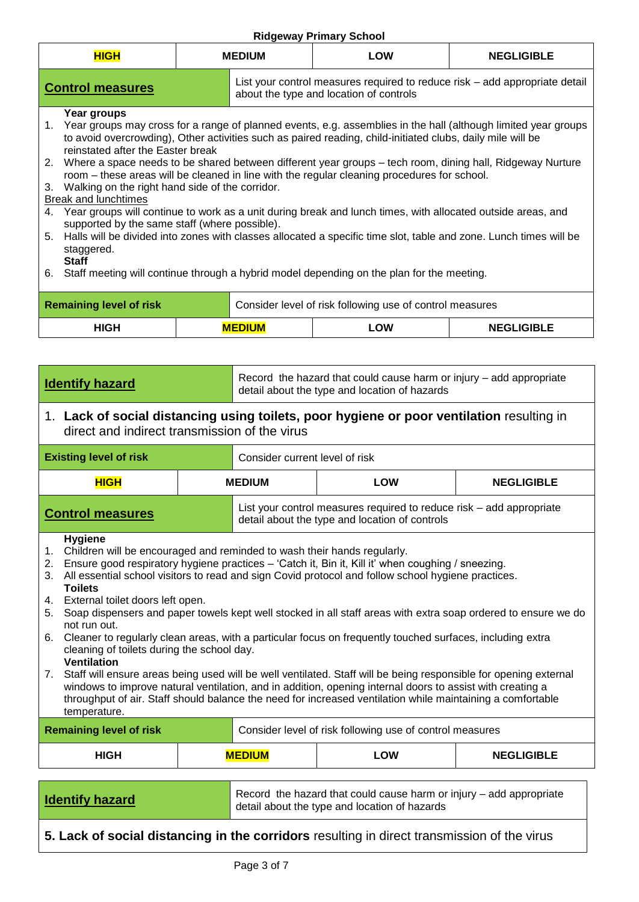| <b>HIGH</b>                                                                                                                                                                                                                                                                                                                                                                                                                                                                                                                                              | $1.199$ $0.114$ $1.111$ $0.1$ $0.011$ $0.01$<br><b>MEDIUM</b><br><b>LOW</b><br><b>NEGLIGIBLE</b> |                                                                                                                        |  |  |  |  |
|----------------------------------------------------------------------------------------------------------------------------------------------------------------------------------------------------------------------------------------------------------------------------------------------------------------------------------------------------------------------------------------------------------------------------------------------------------------------------------------------------------------------------------------------------------|--------------------------------------------------------------------------------------------------|------------------------------------------------------------------------------------------------------------------------|--|--|--|--|
| <b>Control measures</b>                                                                                                                                                                                                                                                                                                                                                                                                                                                                                                                                  |                                                                                                  | List your control measures required to reduce risk – add appropriate detail<br>about the type and location of controls |  |  |  |  |
| Year groups<br>1. Year groups may cross for a range of planned events, e.g. assemblies in the hall (although limited year groups<br>to avoid overcrowding), Other activities such as paired reading, child-initiated clubs, daily mile will be<br>reinstated after the Easter break<br>2. Where a space needs to be shared between different year groups – tech room, dining hall, Ridgeway Nurture<br>room – these areas will be cleaned in line with the regular cleaning procedures for school.<br>3. Walking on the right hand side of the corridor. |                                                                                                  |                                                                                                                        |  |  |  |  |
| Break and lunchtimes                                                                                                                                                                                                                                                                                                                                                                                                                                                                                                                                     |                                                                                                  | 4. Year groups will continue to work as a unit during break and lunch times, with allocated outside areas, and         |  |  |  |  |
| supported by the same staff (where possible).<br>5. Halls will be divided into zones with classes allocated a specific time slot, table and zone. Lunch times will be<br>staggered.<br><b>Staff</b>                                                                                                                                                                                                                                                                                                                                                      |                                                                                                  |                                                                                                                        |  |  |  |  |
| 6. Staff meeting will continue through a hybrid model depending on the plan for the meeting.                                                                                                                                                                                                                                                                                                                                                                                                                                                             |                                                                                                  |                                                                                                                        |  |  |  |  |
| <b>Remaining level of risk</b>                                                                                                                                                                                                                                                                                                                                                                                                                                                                                                                           | Consider level of risk following use of control measures                                         |                                                                                                                        |  |  |  |  |
| <b>HIGH</b>                                                                                                                                                                                                                                                                                                                                                                                                                                                                                                                                              | <b>MEDIUM</b>                                                                                    | LOW<br><b>NEGLIGIBLE</b>                                                                                               |  |  |  |  |

| <b>Identify hazard</b>                                                                                                                                                                                                                                                                                                                                                                                                                                                                                                                                                                                                                                                                                                                                                                                                                                                                                                                                                                                                                                                    |                                                                                                                                            | Record the hazard that could cause harm or injury - add appropriate<br>detail about the type and location of hazards |                                                                                                                        |                   |  |
|---------------------------------------------------------------------------------------------------------------------------------------------------------------------------------------------------------------------------------------------------------------------------------------------------------------------------------------------------------------------------------------------------------------------------------------------------------------------------------------------------------------------------------------------------------------------------------------------------------------------------------------------------------------------------------------------------------------------------------------------------------------------------------------------------------------------------------------------------------------------------------------------------------------------------------------------------------------------------------------------------------------------------------------------------------------------------|--------------------------------------------------------------------------------------------------------------------------------------------|----------------------------------------------------------------------------------------------------------------------|------------------------------------------------------------------------------------------------------------------------|-------------------|--|
|                                                                                                                                                                                                                                                                                                                                                                                                                                                                                                                                                                                                                                                                                                                                                                                                                                                                                                                                                                                                                                                                           | 1. Lack of social distancing using toilets, poor hygiene or poor ventilation resulting in<br>direct and indirect transmission of the virus |                                                                                                                      |                                                                                                                        |                   |  |
| <b>Existing level of risk</b>                                                                                                                                                                                                                                                                                                                                                                                                                                                                                                                                                                                                                                                                                                                                                                                                                                                                                                                                                                                                                                             |                                                                                                                                            | Consider current level of risk                                                                                       |                                                                                                                        |                   |  |
| <b>HIGH</b>                                                                                                                                                                                                                                                                                                                                                                                                                                                                                                                                                                                                                                                                                                                                                                                                                                                                                                                                                                                                                                                               |                                                                                                                                            | <b>MEDIUM</b>                                                                                                        | <b>LOW</b>                                                                                                             | <b>NEGLIGIBLE</b> |  |
| <b>Control measures</b>                                                                                                                                                                                                                                                                                                                                                                                                                                                                                                                                                                                                                                                                                                                                                                                                                                                                                                                                                                                                                                                   |                                                                                                                                            |                                                                                                                      | List your control measures required to reduce risk – add appropriate<br>detail about the type and location of controls |                   |  |
| <b>Hygiene</b><br>Children will be encouraged and reminded to wash their hands regularly.<br>1.<br>2. Ensure good respiratory hygiene practices - 'Catch it, Bin it, Kill it' when coughing / sneezing.<br>All essential school visitors to read and sign Covid protocol and follow school hygiene practices.<br>3.<br><b>Toilets</b><br>4. External toilet doors left open.<br>Soap dispensers and paper towels kept well stocked in all staff areas with extra soap ordered to ensure we do<br>5.<br>not run out.<br>6. Cleaner to regularly clean areas, with a particular focus on frequently touched surfaces, including extra<br>cleaning of toilets during the school day.<br><b>Ventilation</b><br>7. Staff will ensure areas being used will be well ventilated. Staff will be being responsible for opening external<br>windows to improve natural ventilation, and in addition, opening internal doors to assist with creating a<br>throughput of air. Staff should balance the need for increased ventilation while maintaining a comfortable<br>temperature. |                                                                                                                                            |                                                                                                                      |                                                                                                                        |                   |  |
| <b>Remaining level of risk</b><br>Consider level of risk following use of control measures                                                                                                                                                                                                                                                                                                                                                                                                                                                                                                                                                                                                                                                                                                                                                                                                                                                                                                                                                                                |                                                                                                                                            |                                                                                                                      |                                                                                                                        |                   |  |
| <b>HIGH</b>                                                                                                                                                                                                                                                                                                                                                                                                                                                                                                                                                                                                                                                                                                                                                                                                                                                                                                                                                                                                                                                               |                                                                                                                                            | <b>MEDIUM</b>                                                                                                        | LOW                                                                                                                    | <b>NEGLIGIBLE</b> |  |
| <b>Identify hazard</b>                                                                                                                                                                                                                                                                                                                                                                                                                                                                                                                                                                                                                                                                                                                                                                                                                                                                                                                                                                                                                                                    | Record the hazard that could cause harm or injury - add appropriate<br>detail about the type and location of hazards                       |                                                                                                                      |                                                                                                                        |                   |  |

**5. Lack of social distancing in the corridors** resulting in direct transmission of the virus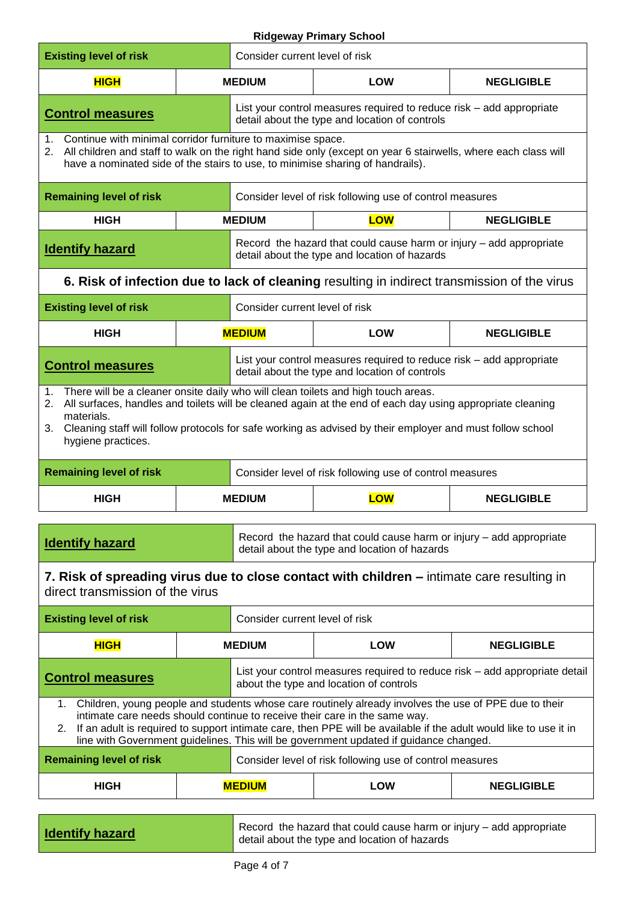| <b>Existing level of risk</b>                                                                                                                                                                                                                                                                                                                                                                           |                                                                                                                                                                                                                                                                                                                                                                         | Consider current level of risk                                                                                         |                                                                                                                                                                                                                    |                   |  |
|---------------------------------------------------------------------------------------------------------------------------------------------------------------------------------------------------------------------------------------------------------------------------------------------------------------------------------------------------------------------------------------------------------|-------------------------------------------------------------------------------------------------------------------------------------------------------------------------------------------------------------------------------------------------------------------------------------------------------------------------------------------------------------------------|------------------------------------------------------------------------------------------------------------------------|--------------------------------------------------------------------------------------------------------------------------------------------------------------------------------------------------------------------|-------------------|--|
| <b>HIGH</b>                                                                                                                                                                                                                                                                                                                                                                                             |                                                                                                                                                                                                                                                                                                                                                                         | <b>MEDIUM</b>                                                                                                          | <b>LOW</b>                                                                                                                                                                                                         | <b>NEGLIGIBLE</b> |  |
| <b>Control measures</b>                                                                                                                                                                                                                                                                                                                                                                                 |                                                                                                                                                                                                                                                                                                                                                                         | detail about the type and location of controls                                                                         | List your control measures required to reduce risk - add appropriate                                                                                                                                               |                   |  |
| 1. Continue with minimal corridor furniture to maximise space.<br>2. All children and staff to walk on the right hand side only (except on year 6 stairwells, where each class will<br>have a nominated side of the stairs to use, to minimise sharing of handrails).                                                                                                                                   |                                                                                                                                                                                                                                                                                                                                                                         |                                                                                                                        |                                                                                                                                                                                                                    |                   |  |
| <b>Remaining level of risk</b>                                                                                                                                                                                                                                                                                                                                                                          |                                                                                                                                                                                                                                                                                                                                                                         |                                                                                                                        | Consider level of risk following use of control measures                                                                                                                                                           |                   |  |
| <b>HIGH</b>                                                                                                                                                                                                                                                                                                                                                                                             |                                                                                                                                                                                                                                                                                                                                                                         | <b>MEDIUM</b>                                                                                                          | <b>LOW</b>                                                                                                                                                                                                         | <b>NEGLIGIBLE</b> |  |
| <b>Identify hazard</b>                                                                                                                                                                                                                                                                                                                                                                                  |                                                                                                                                                                                                                                                                                                                                                                         |                                                                                                                        | Record the hazard that could cause harm or injury - add appropriate<br>detail about the type and location of hazards                                                                                               |                   |  |
|                                                                                                                                                                                                                                                                                                                                                                                                         |                                                                                                                                                                                                                                                                                                                                                                         |                                                                                                                        | 6. Risk of infection due to lack of cleaning resulting in indirect transmission of the virus                                                                                                                       |                   |  |
| <b>Existing level of risk</b>                                                                                                                                                                                                                                                                                                                                                                           |                                                                                                                                                                                                                                                                                                                                                                         | Consider current level of risk                                                                                         |                                                                                                                                                                                                                    |                   |  |
| <b>HIGH</b>                                                                                                                                                                                                                                                                                                                                                                                             |                                                                                                                                                                                                                                                                                                                                                                         | <b>MEDIUM</b>                                                                                                          | <b>LOW</b>                                                                                                                                                                                                         | <b>NEGLIGIBLE</b> |  |
| <b>Control measures</b>                                                                                                                                                                                                                                                                                                                                                                                 | List your control measures required to reduce risk – add appropriate<br>detail about the type and location of controls                                                                                                                                                                                                                                                  |                                                                                                                        |                                                                                                                                                                                                                    |                   |  |
| 2.<br>materials.<br>3.<br>hygiene practices.<br><b>Remaining level of risk</b>                                                                                                                                                                                                                                                                                                                          | There will be a cleaner onsite daily who will clean toilets and high touch areas.<br>All surfaces, handles and toilets will be cleaned again at the end of each day using appropriate cleaning<br>Cleaning staff will follow protocols for safe working as advised by their employer and must follow school<br>Consider level of risk following use of control measures |                                                                                                                        |                                                                                                                                                                                                                    |                   |  |
| <b>HIGH</b>                                                                                                                                                                                                                                                                                                                                                                                             |                                                                                                                                                                                                                                                                                                                                                                         | <b>MEDIUM</b>                                                                                                          | <b>LOW</b>                                                                                                                                                                                                         | <b>NEGLIGIBLE</b> |  |
| <b>Identify hazard</b><br>direct transmission of the virus                                                                                                                                                                                                                                                                                                                                              |                                                                                                                                                                                                                                                                                                                                                                         |                                                                                                                        | Record the hazard that could cause harm or injury – add appropriate<br>detail about the type and location of hazards<br>7. Risk of spreading virus due to close contact with children – intimate care resulting in |                   |  |
| <b>Existing level of risk</b>                                                                                                                                                                                                                                                                                                                                                                           |                                                                                                                                                                                                                                                                                                                                                                         | Consider current level of risk                                                                                         |                                                                                                                                                                                                                    |                   |  |
| <b>HIGH</b>                                                                                                                                                                                                                                                                                                                                                                                             |                                                                                                                                                                                                                                                                                                                                                                         | <b>MEDIUM</b>                                                                                                          | <b>LOW</b>                                                                                                                                                                                                         | <b>NEGLIGIBLE</b> |  |
| <b>Control measures</b>                                                                                                                                                                                                                                                                                                                                                                                 |                                                                                                                                                                                                                                                                                                                                                                         | List your control measures required to reduce risk – add appropriate detail<br>about the type and location of controls |                                                                                                                                                                                                                    |                   |  |
| 1. Children, young people and students whose care routinely already involves the use of PPE due to their<br>intimate care needs should continue to receive their care in the same way.<br>2. If an adult is required to support intimate care, then PPE will be available if the adult would like to use it in<br>line with Government guidelines. This will be government updated if guidance changed. |                                                                                                                                                                                                                                                                                                                                                                         |                                                                                                                        |                                                                                                                                                                                                                    |                   |  |
| <b>Remaining level of risk</b>                                                                                                                                                                                                                                                                                                                                                                          |                                                                                                                                                                                                                                                                                                                                                                         | Consider level of risk following use of control measures                                                               |                                                                                                                                                                                                                    |                   |  |
| <b>HIGH</b>                                                                                                                                                                                                                                                                                                                                                                                             |                                                                                                                                                                                                                                                                                                                                                                         | <b>MEDIUM</b>                                                                                                          | <b>LOW</b>                                                                                                                                                                                                         | <b>NEGLIGIBLE</b> |  |
|                                                                                                                                                                                                                                                                                                                                                                                                         |                                                                                                                                                                                                                                                                                                                                                                         |                                                                                                                        |                                                                                                                                                                                                                    |                   |  |

| <b>Identify hazard</b> | Record the hazard that could cause harm or injury – add appropriate<br>detail about the type and location of hazards |
|------------------------|----------------------------------------------------------------------------------------------------------------------|
|                        |                                                                                                                      |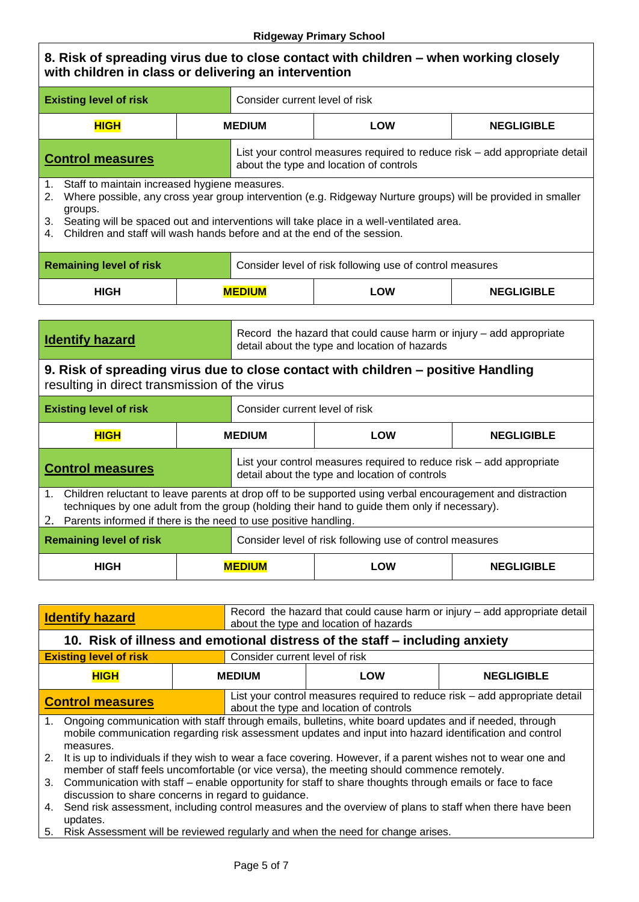**8. Risk of spreading virus due to close contact with children – when working closely with children in class or delivering an intervention Existing level of risk** Consider current level of risk **HIGH MEDIUM LOW NEGLIGIBLE Control measures** List your control measures required to reduce risk – add appropriate detail about the type and location of controls 1. Staff to maintain increased hygiene measures. 2. Where possible, any cross year group intervention (e.g. Ridgeway Nurture groups) will be provided in smaller groups. 3. Seating will be spaced out and interventions will take place in a well-ventilated area. 4. Children and staff will wash hands before and at the end of the session. **Remaining level of risk Consider level of risk following use of control measures HIGH MEDIUM LOW NEGLIGIBLE Identify hazard** Record the hazard that could cause harm or injury – add appropriate detail about the type and location of hazards **9. Risk of spreading virus due to close contact with children – positive Handling** resulting in direct transmission of the virus **Existing level of risk** Consider current level of risk **HIGH MEDIUM LOW NEGLIGIBLE Control measures** List your control measures required to reduce risk – add appropriate detail about the type and location of controls 1. Children reluctant to leave parents at drop off to be supported using verbal encouragement and distraction techniques by one adult from the group (holding their hand to guide them only if necessary). 2. Parents informed if there is the need to use positive handling. **Remaining level of risk Consider level of risk following use of control measures HIGH MEDIUM LOW NEGLIGIBLE**

| <b>Identify hazard</b>                                                                                                                                                                                                                           | Record the hazard that could cause harm or injury – add appropriate detail<br>about the type and location of hazards   |                          |  |  |
|--------------------------------------------------------------------------------------------------------------------------------------------------------------------------------------------------------------------------------------------------|------------------------------------------------------------------------------------------------------------------------|--------------------------|--|--|
| 10. Risk of illness and emotional distress of the staff – including anxiety                                                                                                                                                                      |                                                                                                                        |                          |  |  |
| <b>Existing level of risk</b>                                                                                                                                                                                                                    | Consider current level of risk                                                                                         |                          |  |  |
| <b>HIGH</b>                                                                                                                                                                                                                                      | <b>MEDIUM</b>                                                                                                          | LOW<br><b>NEGLIGIBLE</b> |  |  |
| <b>Control measures</b>                                                                                                                                                                                                                          | List your control measures required to reduce risk – add appropriate detail<br>about the type and location of controls |                          |  |  |
| Ongoing communication with staff through emails, bulletins, white board updates and if needed, through<br>1 <sub>1</sub><br>mobile communication regarding risk assessment updates and input into hazard identification and control<br>measures. |                                                                                                                        |                          |  |  |
| 2. It is up to individuals if they wish to wear a face covering. However, if a parent wishes not to wear one and<br>member of staff feels uncomfortable (or vice versa), the meeting should commence remotely.                                   |                                                                                                                        |                          |  |  |
| Communication with staff – enable opportunity for staff to share thoughts through emails or face to face<br>3.<br>discussion to share concerns in regard to guidance.                                                                            |                                                                                                                        |                          |  |  |
| Send risk assessment, including control measures and the overview of plans to staff when there have been<br>4.<br>updates.                                                                                                                       |                                                                                                                        |                          |  |  |

5. Risk Assessment will be reviewed regularly and when the need for change arises.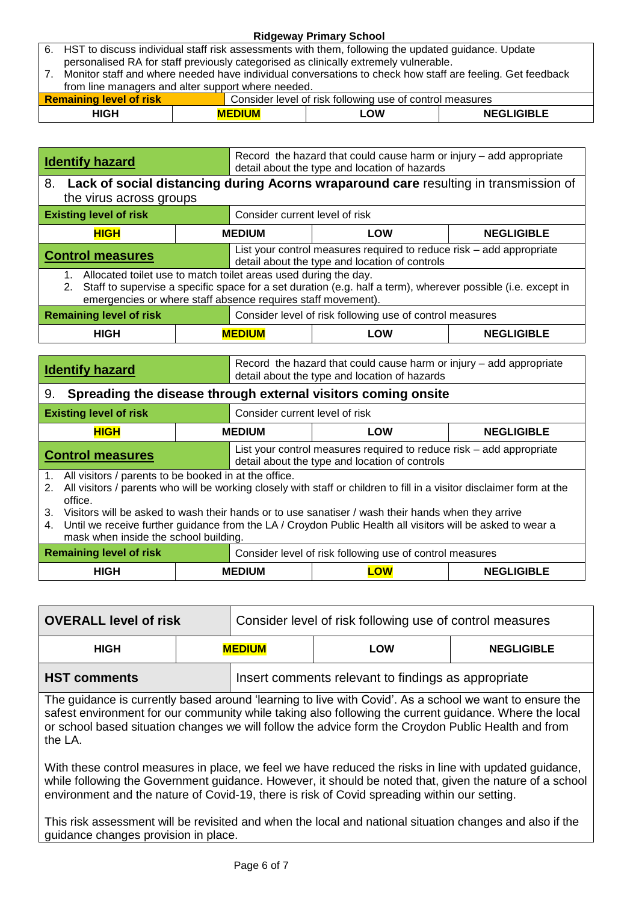| 6. HST to discuss individual staff risk assessments with them, following the updated guidance. Update |               |                                                                                                           |                   |  |  |
|-------------------------------------------------------------------------------------------------------|---------------|-----------------------------------------------------------------------------------------------------------|-------------------|--|--|
|                                                                                                       |               | personalised RA for staff previously categorised as clinically extremely vulnerable.                      |                   |  |  |
|                                                                                                       |               | Monitor staff and where needed have individual conversations to check how staff are feeling. Get feedback |                   |  |  |
| from line managers and alter support where needed.                                                    |               |                                                                                                           |                   |  |  |
| <b>Remaining level of risk</b><br>Consider level of risk following use of control measures            |               |                                                                                                           |                   |  |  |
| <b>HIGH</b>                                                                                           | <b>MEDIUM</b> | LOW                                                                                                       | <b>NEGLIGIBLE</b> |  |  |

| Record the hazard that could cause harm or injury – add appropriate<br><b>Identify hazard</b><br>detail about the type and location of hazards |  |                                                                                                                                                                              |  |  |  |
|------------------------------------------------------------------------------------------------------------------------------------------------|--|------------------------------------------------------------------------------------------------------------------------------------------------------------------------------|--|--|--|
| <b>Lack of social distancing during Acorns wraparound care resulting in transmission of</b><br>8.<br>the virus across groups                   |  |                                                                                                                                                                              |  |  |  |
| <b>Existing level of risk</b>                                                                                                                  |  | Consider current level of risk                                                                                                                                               |  |  |  |
| <b>HIGH</b>                                                                                                                                    |  | <b>MEDIUM</b><br><b>LOW</b><br><b>NEGLIGIBLE</b>                                                                                                                             |  |  |  |
| <b>Control measures</b>                                                                                                                        |  | List your control measures required to reduce risk - add appropriate<br>detail about the type and location of controls                                                       |  |  |  |
| Allocated toilet use to match toilet areas used during the day.<br>1.                                                                          |  |                                                                                                                                                                              |  |  |  |
| 2.                                                                                                                                             |  | Staff to supervise a specific space for a set duration (e.g. half a term), wherever possible (i.e. except in<br>emergencies or where staff absence requires staff movement). |  |  |  |
| <b>Remaining level of risk</b>                                                                                                                 |  | Consider level of risk following use of control measures                                                                                                                     |  |  |  |
| <b>HIGH</b>                                                                                                                                    |  | <b>MEDIUM</b><br><b>NEGLIGIBLE</b><br>LOW                                                                                                                                    |  |  |  |

| <b>Identify hazard</b>                                                                                                                                                                                                                                                                                                                                                                                                                                                         |  | Record the hazard that could cause harm or injury – add appropriate<br>detail about the type and location of hazards   |  |                   |
|--------------------------------------------------------------------------------------------------------------------------------------------------------------------------------------------------------------------------------------------------------------------------------------------------------------------------------------------------------------------------------------------------------------------------------------------------------------------------------|--|------------------------------------------------------------------------------------------------------------------------|--|-------------------|
| Spreading the disease through external visitors coming onsite<br>9.                                                                                                                                                                                                                                                                                                                                                                                                            |  |                                                                                                                        |  |                   |
| <b>Existing level of risk</b>                                                                                                                                                                                                                                                                                                                                                                                                                                                  |  | Consider current level of risk                                                                                         |  |                   |
| <b>HIGH</b>                                                                                                                                                                                                                                                                                                                                                                                                                                                                    |  | <b>MEDIUM</b><br><b>LOW</b>                                                                                            |  | <b>NEGLIGIBLE</b> |
| <b>Control measures</b>                                                                                                                                                                                                                                                                                                                                                                                                                                                        |  | List your control measures required to reduce risk – add appropriate<br>detail about the type and location of controls |  |                   |
| All visitors / parents to be booked in at the office.<br>1.<br>All visitors / parents who will be working closely with staff or children to fill in a visitor disclaimer form at the<br>2.<br>office.<br>Visitors will be asked to wash their hands or to use sanatiser / wash their hands when they arrive<br>3.<br>Until we receive further guidance from the LA / Croydon Public Health all visitors will be asked to wear a<br>4.<br>mask when inside the school building. |  |                                                                                                                        |  |                   |
| <b>Remaining level of risk</b><br>Consider level of risk following use of control measures                                                                                                                                                                                                                                                                                                                                                                                     |  |                                                                                                                        |  |                   |

| <b>Remaining level of risk</b> |  |               | Consider level of risk following use of control measures |                   |
|--------------------------------|--|---------------|----------------------------------------------------------|-------------------|
| <b>HIGH</b>                    |  | <b>MEDIUM</b> | <u>_OW</u>                                               | <b>NEGLIGIBLE</b> |

| <b>OVERALL level of risk</b> |               | Consider level of risk following use of control measures |     |                   |
|------------------------------|---------------|----------------------------------------------------------|-----|-------------------|
| <b>HIGH</b>                  | <b>MEDIUM</b> |                                                          | LOW | <b>NEGLIGIBLE</b> |
| <b>HST comments</b>          |               | Insert comments relevant to findings as appropriate      |     |                   |

The guidance is currently based around 'learning to live with Covid'. As a school we want to ensure the safest environment for our community while taking also following the current guidance. Where the local or school based situation changes we will follow the advice form the Croydon Public Health and from the LA.

With these control measures in place, we feel we have reduced the risks in line with updated guidance, while following the Government guidance. However, it should be noted that, given the nature of a school environment and the nature of Covid-19, there is risk of Covid spreading within our setting.

This risk assessment will be revisited and when the local and national situation changes and also if the guidance changes provision in place.